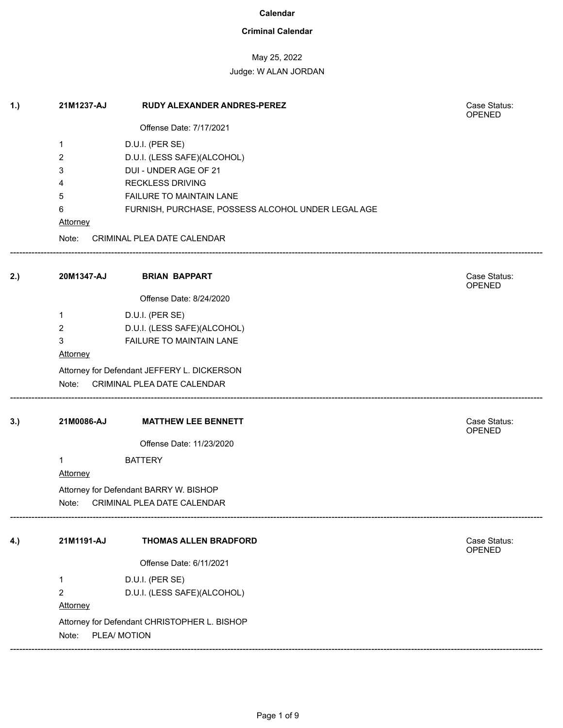### **Criminal Calendar**

## May 25, 2022

| 1.) | 21M1237-AJ                                                            | RUDY ALEXANDER ANDRES-PEREZ                        | Case Status:<br><b>OPENED</b> |  |  |
|-----|-----------------------------------------------------------------------|----------------------------------------------------|-------------------------------|--|--|
|     |                                                                       | Offense Date: 7/17/2021                            |                               |  |  |
|     | 1                                                                     | D.U.I. (PER SE)                                    |                               |  |  |
|     | 2                                                                     | D.U.I. (LESS SAFE)(ALCOHOL)                        |                               |  |  |
|     | 3                                                                     | DUI - UNDER AGE OF 21                              |                               |  |  |
|     | 4                                                                     | <b>RECKLESS DRIVING</b>                            |                               |  |  |
|     | 5                                                                     | FAILURE TO MAINTAIN LANE                           |                               |  |  |
|     | 6                                                                     | FURNISH, PURCHASE, POSSESS ALCOHOL UNDER LEGAL AGE |                               |  |  |
|     | <b>Attorney</b>                                                       |                                                    |                               |  |  |
|     | Note:                                                                 | CRIMINAL PLEA DATE CALENDAR                        |                               |  |  |
| 2.) | 20M1347-AJ                                                            | <b>BRIAN BAPPART</b>                               | Case Status:<br>OPENED        |  |  |
|     |                                                                       | Offense Date: 8/24/2020                            |                               |  |  |
|     | 1                                                                     | D.U.I. (PER SE)                                    |                               |  |  |
|     | $\overline{2}$                                                        | D.U.I. (LESS SAFE)(ALCOHOL)                        |                               |  |  |
|     | 3                                                                     | FAILURE TO MAINTAIN LANE                           |                               |  |  |
|     | Attorney                                                              |                                                    |                               |  |  |
|     | Attorney for Defendant JEFFERY L. DICKERSON                           |                                                    |                               |  |  |
|     | Note:                                                                 | CRIMINAL PLEA DATE CALENDAR                        |                               |  |  |
| 3.) | 21M0086-AJ                                                            | <b>MATTHEW LEE BENNETT</b>                         | Case Status:<br>OPENED        |  |  |
|     |                                                                       | Offense Date: 11/23/2020                           |                               |  |  |
|     | 1                                                                     | <b>BATTERY</b>                                     |                               |  |  |
|     | <b>Attorney</b>                                                       |                                                    |                               |  |  |
|     | Attorney for Defendant BARRY W. BISHOP                                |                                                    |                               |  |  |
|     | Note: CRIMINAL PLEA DATE CALENDAR                                     |                                                    |                               |  |  |
| 4.) | 21M1191-AJ                                                            | <b>THOMAS ALLEN BRADFORD</b>                       | Case Status:                  |  |  |
|     |                                                                       |                                                    | OPENED                        |  |  |
|     |                                                                       | Offense Date: 6/11/2021                            |                               |  |  |
|     | 1                                                                     | D.U.I. (PER SE)                                    |                               |  |  |
|     | $\overline{2}$                                                        | D.U.I. (LESS SAFE)(ALCOHOL)                        |                               |  |  |
|     | Attorney                                                              |                                                    |                               |  |  |
|     | Attorney for Defendant CHRISTOPHER L. BISHOP<br>PLEA/ MOTION<br>Note: |                                                    |                               |  |  |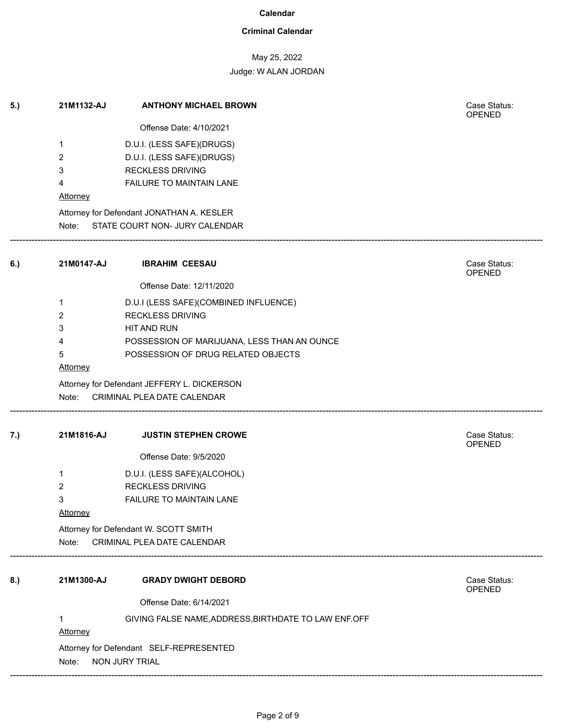## **Criminal Calendar**

# May 25, 2022

Judge: W ALAN JORDAN

| 5.) | 21M1132-AJ                            | <b>ANTHONY MICHAEL BROWN</b>                         | Case Status:<br>OPENED        |  |  |  |
|-----|---------------------------------------|------------------------------------------------------|-------------------------------|--|--|--|
|     |                                       | Offense Date: 4/10/2021                              |                               |  |  |  |
|     | 1                                     | D.U.I. (LESS SAFE)(DRUGS)                            |                               |  |  |  |
|     | 2                                     | D.U.I. (LESS SAFE)(DRUGS)                            |                               |  |  |  |
|     | 3                                     | <b>RECKLESS DRIVING</b>                              |                               |  |  |  |
|     | 4                                     | FAILURE TO MAINTAIN LANE                             |                               |  |  |  |
|     | <b>Attorney</b>                       |                                                      |                               |  |  |  |
|     |                                       | Attorney for Defendant JONATHAN A. KESLER            |                               |  |  |  |
|     |                                       | Note: STATE COURT NON- JURY CALENDAR                 |                               |  |  |  |
| 6.) | 21M0147-AJ                            | <b>IBRAHIM CEESAU</b>                                | Case Status:<br>OPENED        |  |  |  |
|     |                                       | Offense Date: 12/11/2020                             |                               |  |  |  |
|     | $\mathbf{1}$                          | D.U.I (LESS SAFE)(COMBINED INFLUENCE)                |                               |  |  |  |
|     | 2                                     | <b>RECKLESS DRIVING</b>                              |                               |  |  |  |
|     | 3                                     | HIT AND RUN                                          |                               |  |  |  |
|     | 4                                     | POSSESSION OF MARIJUANA, LESS THAN AN OUNCE          |                               |  |  |  |
|     | 5                                     | POSSESSION OF DRUG RELATED OBJECTS                   |                               |  |  |  |
|     | <b>Attorney</b>                       |                                                      |                               |  |  |  |
|     |                                       | Attorney for Defendant JEFFERY L. DICKERSON          |                               |  |  |  |
|     | Note:                                 | CRIMINAL PLEA DATE CALENDAR                          |                               |  |  |  |
| 7.) | 21M1816-AJ                            | <b>JUSTIN STEPHEN CROWE</b>                          | Case Status:<br><b>OPENED</b> |  |  |  |
|     |                                       | Offense Date: 9/5/2020                               |                               |  |  |  |
|     | 1                                     | D.U.I. (LESS SAFE)(ALCOHOL)                          |                               |  |  |  |
|     | $\overline{2}$                        | <b>RECKLESS DRIVING</b>                              |                               |  |  |  |
|     | 3                                     | <b>FAILURE TO MAINTAIN LANE</b>                      |                               |  |  |  |
|     | <b>Attorney</b>                       |                                                      |                               |  |  |  |
|     | Attorney for Defendant W. SCOTT SMITH |                                                      |                               |  |  |  |
|     | Note:                                 | CRIMINAL PLEA DATE CALENDAR                          |                               |  |  |  |
| 8.) | 21M1300-AJ                            | <b>GRADY DWIGHT DEBORD</b>                           | Case Status:<br>OPENED        |  |  |  |
|     |                                       | Offense Date: 6/14/2021                              |                               |  |  |  |
|     | 1<br>Attorney                         | GIVING FALSE NAME, ADDRESS, BIRTHDATE TO LAW ENF.OFF |                               |  |  |  |
|     |                                       | Attorney for Defendant SELF-REPRESENTED              |                               |  |  |  |
|     | Note:                                 | NON JURY TRIAL                                       |                               |  |  |  |
|     |                                       |                                                      |                               |  |  |  |

------------------------------------------------------------------------------------------------------------------------------------------------------------------------------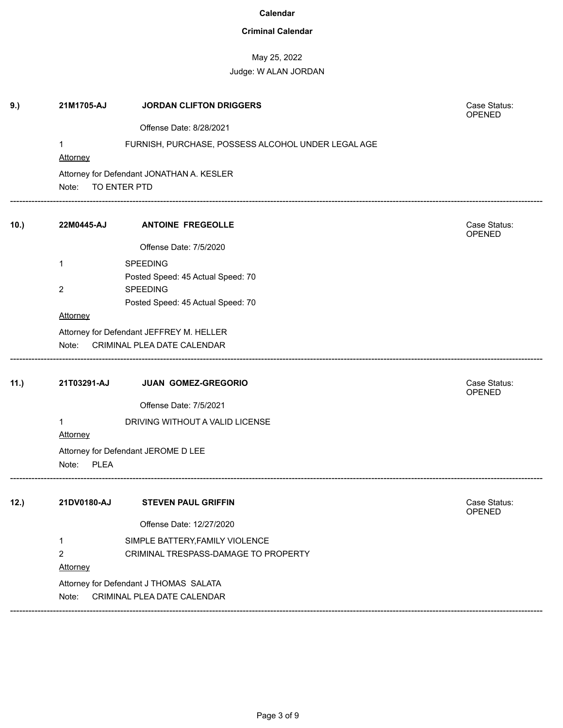## **Criminal Calendar**

# May 25, 2022

## Judge: W ALAN JORDAN

| 9.)  | 21M1705-AJ           | <b>JORDAN CLIFTON DRIGGERS</b>                     | Case Status:<br>OPENED |
|------|----------------------|----------------------------------------------------|------------------------|
|      |                      | Offense Date: 8/28/2021                            |                        |
|      |                      | FURNISH, PURCHASE, POSSESS ALCOHOL UNDER LEGAL AGE |                        |
|      | Attorney             |                                                    |                        |
|      |                      | Attorney for Defendant JONATHAN A. KESLER          |                        |
|      | Note:                | TO ENTER PTD                                       |                        |
| 10.) | 22M0445-AJ           | <b>ANTOINE FREGEOLLE</b>                           | Case Status:<br>OPENED |
|      |                      | Offense Date: 7/5/2020                             |                        |
|      | 1                    | <b>SPEEDING</b>                                    |                        |
|      |                      | Posted Speed: 45 Actual Speed: 70                  |                        |
|      | 2                    | <b>SPEEDING</b>                                    |                        |
|      |                      | Posted Speed: 45 Actual Speed: 70                  |                        |
|      | <b>Attorney</b>      |                                                    |                        |
|      |                      | Attorney for Defendant JEFFREY M. HELLER           |                        |
|      | Note:                | CRIMINAL PLEA DATE CALENDAR                        |                        |
| 11.) | 21T03291-AJ          | JUAN GOMEZ-GREGORIO                                | Case Status:<br>OPENED |
|      |                      | Offense Date: 7/5/2021                             |                        |
|      | 1                    | DRIVING WITHOUT A VALID LICENSE                    |                        |
|      | Attorney             |                                                    |                        |
|      |                      | Attorney for Defendant JEROME D LEE                |                        |
|      | Note:<br><b>PLEA</b> |                                                    |                        |
| 12.) | 21DV0180-AJ          | <b>STEVEN PAUL GRIFFIN</b>                         | Case Status:<br>OPENED |
|      |                      | Offense Date: 12/27/2020                           |                        |
|      | 1                    | SIMPLE BATTERY, FAMILY VIOLENCE                    |                        |
|      | $\overline{2}$       | CRIMINAL TRESPASS-DAMAGE TO PROPERTY               |                        |
|      | <b>Attorney</b>      |                                                    |                        |
|      |                      | Attorney for Defendant J THOMAS SALATA             |                        |
|      | Note:                | CRIMINAL PLEA DATE CALENDAR                        |                        |
|      |                      |                                                    |                        |

------------------------------------------------------------------------------------------------------------------------------------------------------------------------------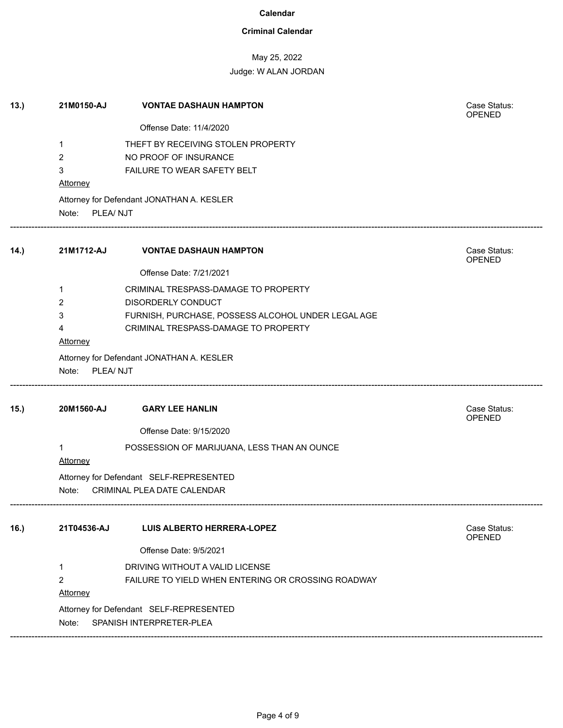## **Criminal Calendar**

# May 25, 2022

| 13.  | 21M0150-AJ                                                  | <b>VONTAE DASHAUN HAMPTON</b>                                                              | Case Status:<br>OPENED        |
|------|-------------------------------------------------------------|--------------------------------------------------------------------------------------------|-------------------------------|
|      |                                                             | Offense Date: 11/4/2020                                                                    |                               |
|      | 1                                                           | THEFT BY RECEIVING STOLEN PROPERTY                                                         |                               |
|      | 2                                                           | NO PROOF OF INSURANCE                                                                      |                               |
|      | 3<br><b>Attorney</b>                                        | FAILURE TO WEAR SAFETY BELT                                                                |                               |
|      | Attorney for Defendant JONATHAN A. KESLER<br>Note: PLEA/NJT |                                                                                            |                               |
| 14.) | 21M1712-AJ                                                  | <b>VONTAE DASHAUN HAMPTON</b>                                                              | Case Status:<br>OPENED        |
|      |                                                             | Offense Date: 7/21/2021                                                                    |                               |
|      | 1                                                           | CRIMINAL TRESPASS-DAMAGE TO PROPERTY                                                       |                               |
|      | 2                                                           | <b>DISORDERLY CONDUCT</b>                                                                  |                               |
|      | 3<br>4                                                      | FURNISH, PURCHASE, POSSESS ALCOHOL UNDER LEGAL AGE<br>CRIMINAL TRESPASS-DAMAGE TO PROPERTY |                               |
|      | <b>Attorney</b>                                             |                                                                                            |                               |
|      | Attorney for Defendant JONATHAN A. KESLER<br>Note: PLEA/NJT |                                                                                            |                               |
| 15.  | 20M1560-AJ                                                  | <b>GARY LEE HANLIN</b>                                                                     | Case Status:<br><b>OPENED</b> |
|      |                                                             | Offense Date: 9/15/2020                                                                    |                               |
|      | 1<br>Attorney                                               | POSSESSION OF MARIJUANA, LESS THAN AN OUNCE                                                |                               |
|      |                                                             | Attorney for Defendant SELF-REPRESENTED                                                    |                               |
|      | Note:                                                       | CRIMINAL PLEA DATE CALENDAR                                                                |                               |
| 16.  | 21T04536-AJ                                                 | <b>LUIS ALBERTO HERRERA-LOPEZ</b>                                                          | Case Status:<br><b>OPENED</b> |
|      |                                                             | Offense Date: 9/5/2021                                                                     |                               |
|      | 1                                                           | DRIVING WITHOUT A VALID LICENSE                                                            |                               |
|      | $\overline{2}$                                              | FAILURE TO YIELD WHEN ENTERING OR CROSSING ROADWAY                                         |                               |
|      | Attorney                                                    |                                                                                            |                               |
|      | Note:                                                       | Attorney for Defendant SELF-REPRESENTED<br>SPANISH INTERPRETER-PLEA                        |                               |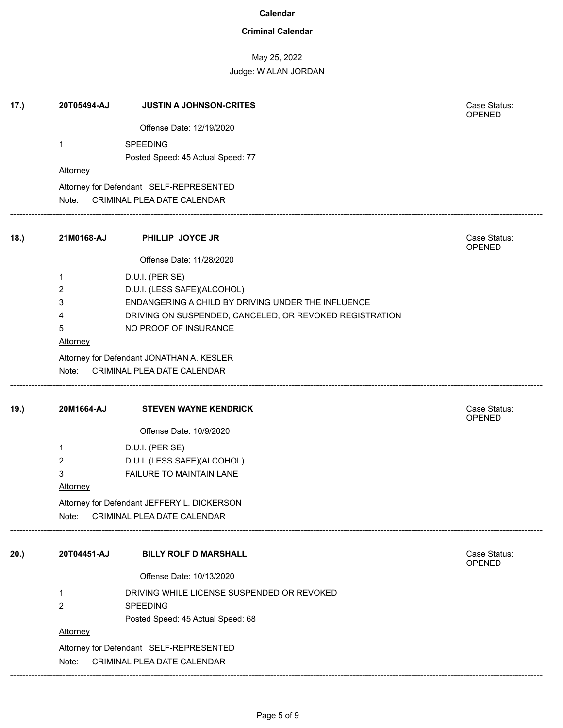### **Criminal Calendar**

# May 25, 2022

| 17.) | 20T05494-AJ                               | <b>JUSTIN A JOHNSON-CRITES</b>                          | Case Status:<br>OPENED        |  |
|------|-------------------------------------------|---------------------------------------------------------|-------------------------------|--|
|      |                                           | Offense Date: 12/19/2020                                |                               |  |
|      | 1                                         | <b>SPEEDING</b>                                         |                               |  |
|      |                                           | Posted Speed: 45 Actual Speed: 77                       |                               |  |
|      | Attorney                                  |                                                         |                               |  |
|      |                                           | Attorney for Defendant SELF-REPRESENTED                 |                               |  |
|      | Note:                                     | CRIMINAL PLEA DATE CALENDAR                             |                               |  |
| 18.  | 21M0168-AJ                                | PHILLIP JOYCE JR                                        | Case Status:<br>OPENED        |  |
|      |                                           | Offense Date: 11/28/2020                                |                               |  |
|      |                                           |                                                         |                               |  |
|      | 1<br>2                                    | D.U.I. (PER SE)<br>D.U.I. (LESS SAFE)(ALCOHOL)          |                               |  |
|      | 3                                         | ENDANGERING A CHILD BY DRIVING UNDER THE INFLUENCE      |                               |  |
|      | 4                                         | DRIVING ON SUSPENDED, CANCELED, OR REVOKED REGISTRATION |                               |  |
|      | 5                                         | NO PROOF OF INSURANCE                                   |                               |  |
|      | Attorney                                  |                                                         |                               |  |
|      | Attorney for Defendant JONATHAN A. KESLER |                                                         |                               |  |
|      | Note:                                     | CRIMINAL PLEA DATE CALENDAR                             |                               |  |
|      |                                           |                                                         |                               |  |
| 19.) | 20M1664-AJ                                | <b>STEVEN WAYNE KENDRICK</b>                            | Case Status:<br><b>OPENED</b> |  |
|      |                                           | Offense Date: 10/9/2020                                 |                               |  |
|      | 1                                         | D.U.I. (PER SE)                                         |                               |  |
|      | 2                                         | D.U.I. (LESS SAFE)(ALCOHOL)                             |                               |  |
|      | 3                                         | FAILURE TO MAINTAIN LANE                                |                               |  |
|      | Attorney                                  |                                                         |                               |  |
|      |                                           | Attorney for Defendant JEFFERY L. DICKERSON             |                               |  |
|      | Note:                                     | CRIMINAL PLEA DATE CALENDAR                             |                               |  |
|      |                                           |                                                         |                               |  |
| 20.) | 20T04451-AJ                               | <b>BILLY ROLF D MARSHALL</b>                            | Case Status:<br>OPENED        |  |
|      |                                           | Offense Date: 10/13/2020                                |                               |  |
|      | 1                                         | DRIVING WHILE LICENSE SUSPENDED OR REVOKED              |                               |  |
|      | $\overline{2}$                            | <b>SPEEDING</b>                                         |                               |  |
|      |                                           | Posted Speed: 45 Actual Speed: 68                       |                               |  |
|      | Attorney                                  |                                                         |                               |  |
|      | Attorney for Defendant SELF-REPRESENTED   |                                                         |                               |  |
|      | CRIMINAL PLEA DATE CALENDAR<br>Note:      |                                                         |                               |  |
|      |                                           |                                                         |                               |  |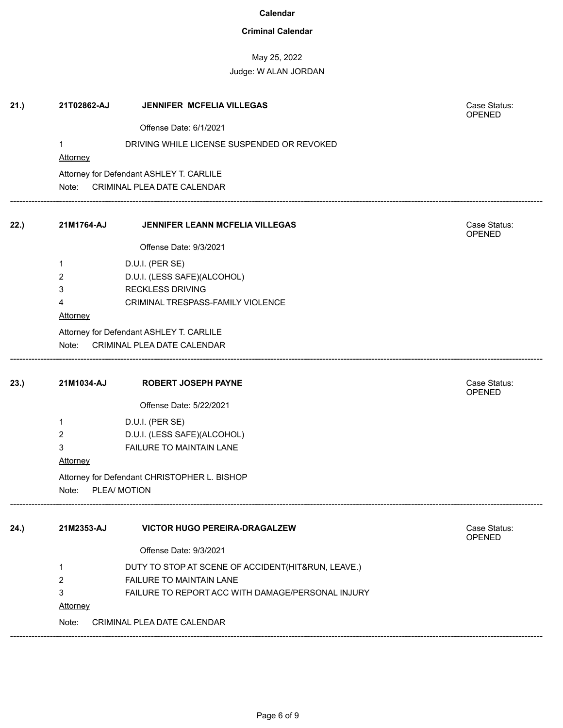## **Criminal Calendar**

# May 25, 2022

| Offense Date: 6/1/2021<br>1<br>DRIVING WHILE LICENSE SUSPENDED OR REVOKED<br><b>Attorney</b><br>Attorney for Defendant ASHLEY T. CARLILE<br>CRIMINAL PLEA DATE CALENDAR<br>Note: |                               |  |  |  |  |
|----------------------------------------------------------------------------------------------------------------------------------------------------------------------------------|-------------------------------|--|--|--|--|
|                                                                                                                                                                                  |                               |  |  |  |  |
|                                                                                                                                                                                  |                               |  |  |  |  |
|                                                                                                                                                                                  |                               |  |  |  |  |
|                                                                                                                                                                                  |                               |  |  |  |  |
| 21M1764-AJ<br>JENNIFER LEANN MCFELIA VILLEGAS<br>22.)                                                                                                                            | Case Status:<br><b>OPENED</b> |  |  |  |  |
| Offense Date: 9/3/2021                                                                                                                                                           |                               |  |  |  |  |
| D.U.I. (PER SE)<br>1                                                                                                                                                             |                               |  |  |  |  |
| $\overline{2}$<br>D.U.I. (LESS SAFE)(ALCOHOL)                                                                                                                                    |                               |  |  |  |  |
| <b>RECKLESS DRIVING</b><br>3                                                                                                                                                     |                               |  |  |  |  |
| CRIMINAL TRESPASS-FAMILY VIOLENCE<br>4                                                                                                                                           |                               |  |  |  |  |
| Attorney                                                                                                                                                                         |                               |  |  |  |  |
| Attorney for Defendant ASHLEY T. CARLILE                                                                                                                                         |                               |  |  |  |  |
| CRIMINAL PLEA DATE CALENDAR<br>Note:                                                                                                                                             |                               |  |  |  |  |
| 21M1034-AJ<br>23.)<br><b>ROBERT JOSEPH PAYNE</b>                                                                                                                                 | Case Status:<br><b>OPENED</b> |  |  |  |  |
| Offense Date: 5/22/2021                                                                                                                                                          |                               |  |  |  |  |
| D.U.I. (PER SE)<br>1                                                                                                                                                             |                               |  |  |  |  |
| D.U.I. (LESS SAFE)(ALCOHOL)<br>$\mathbf{2}$                                                                                                                                      |                               |  |  |  |  |
| $\mathbf{3}$<br>FAILURE TO MAINTAIN LANE                                                                                                                                         |                               |  |  |  |  |
| <b>Attorney</b>                                                                                                                                                                  |                               |  |  |  |  |
| Attorney for Defendant CHRISTOPHER L. BISHOP                                                                                                                                     |                               |  |  |  |  |
| PLEA/ MOTION<br>Note:                                                                                                                                                            |                               |  |  |  |  |
| 21M2353-AJ<br><b>VICTOR HUGO PEREIRA-DRAGALZEW</b><br>24.)                                                                                                                       | Case Status:<br><b>OPENED</b> |  |  |  |  |
| Offense Date: 9/3/2021                                                                                                                                                           |                               |  |  |  |  |
| DUTY TO STOP AT SCENE OF ACCIDENT(HIT&RUN, LEAVE.)<br>1                                                                                                                          |                               |  |  |  |  |
| $\overline{2}$<br>FAILURE TO MAINTAIN LANE                                                                                                                                       |                               |  |  |  |  |
| 3<br>FAILURE TO REPORT ACC WITH DAMAGE/PERSONAL INJURY                                                                                                                           |                               |  |  |  |  |
| Attorney                                                                                                                                                                         |                               |  |  |  |  |
| CRIMINAL PLEA DATE CALENDAR<br>Note:                                                                                                                                             |                               |  |  |  |  |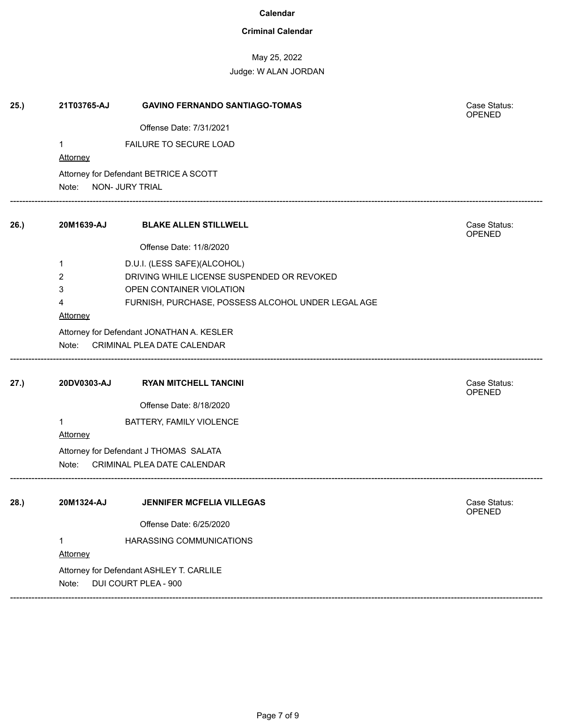### **Criminal Calendar**

May 25, 2022

| 25.) | 21T03765-AJ                               | <b>GAVINO FERNANDO SANTIAGO-TOMAS</b>                     | Case Status:<br>OPENED |  |  |  |
|------|-------------------------------------------|-----------------------------------------------------------|------------------------|--|--|--|
|      |                                           | Offense Date: 7/31/2021                                   |                        |  |  |  |
|      | 1<br>Attorney                             | FAILURE TO SECURE LOAD                                    |                        |  |  |  |
|      | Note:                                     | Attorney for Defendant BETRICE A SCOTT<br>NON- JURY TRIAL |                        |  |  |  |
|      |                                           |                                                           |                        |  |  |  |
| 26.) | 20M1639-AJ                                | <b>BLAKE ALLEN STILLWELL</b>                              | Case Status:<br>OPENED |  |  |  |
|      |                                           | Offense Date: 11/8/2020                                   |                        |  |  |  |
|      | 1                                         | D.U.I. (LESS SAFE)(ALCOHOL)                               |                        |  |  |  |
|      | 2                                         | DRIVING WHILE LICENSE SUSPENDED OR REVOKED                |                        |  |  |  |
|      | 3                                         | OPEN CONTAINER VIOLATION                                  |                        |  |  |  |
|      | 4                                         | FURNISH, PURCHASE, POSSESS ALCOHOL UNDER LEGAL AGE        |                        |  |  |  |
|      | <b>Attorney</b>                           |                                                           |                        |  |  |  |
|      | Attorney for Defendant JONATHAN A. KESLER |                                                           |                        |  |  |  |
|      | Note:                                     | CRIMINAL PLEA DATE CALENDAR                               |                        |  |  |  |
| 27.) | 20DV0303-AJ                               | <b>RYAN MITCHELL TANCINI</b>                              | Case Status:<br>OPENED |  |  |  |
|      |                                           | Offense Date: 8/18/2020                                   |                        |  |  |  |
|      | 1                                         | BATTERY, FAMILY VIOLENCE                                  |                        |  |  |  |
|      | Attorney                                  |                                                           |                        |  |  |  |
|      | Attorney for Defendant J THOMAS SALATA    |                                                           |                        |  |  |  |
|      | Note:<br>CRIMINAL PLEA DATE CALENDAR      |                                                           |                        |  |  |  |
|      |                                           |                                                           |                        |  |  |  |
| 28.) | 20M1324-AJ                                | <b>JENNIFER MCFELIA VILLEGAS</b>                          | Case Status:<br>OPENED |  |  |  |
|      |                                           | Offense Date: 6/25/2020                                   |                        |  |  |  |
|      | 1                                         | HARASSING COMMUNICATIONS                                  |                        |  |  |  |
|      | Attorney                                  |                                                           |                        |  |  |  |
|      |                                           | Attorney for Defendant ASHLEY T. CARLILE                  |                        |  |  |  |
|      | Note:                                     | DUI COURT PLEA - 900                                      |                        |  |  |  |
|      |                                           |                                                           |                        |  |  |  |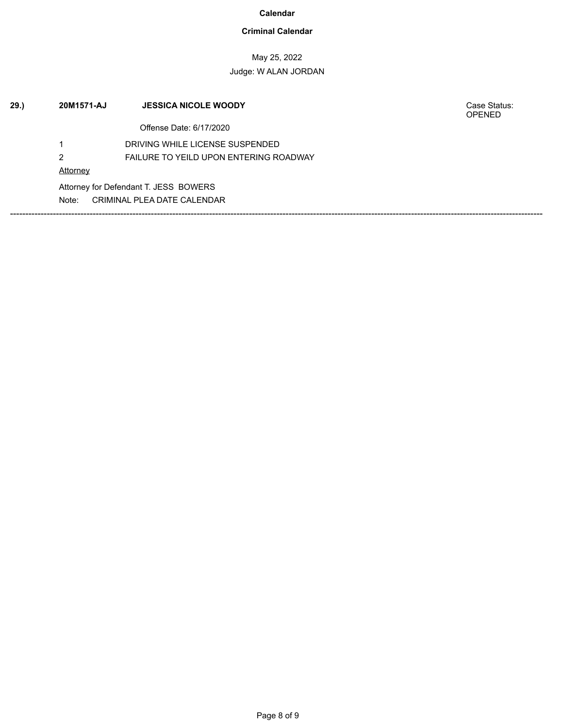## **Criminal Calendar**

## May 25, 2022 Judge: W ALAN JORDAN

| 29. | 20M1571-AJ | <b>JESSICA NICOLE WOODY</b>                   | Case Status:<br><b>OPENED</b> |
|-----|------------|-----------------------------------------------|-------------------------------|
|     |            | Offense Date: 6/17/2020                       |                               |
|     |            | DRIVING WHILE LICENSE SUSPENDED               |                               |
|     | 2          | <b>FAILURE TO YEILD UPON ENTERING ROADWAY</b> |                               |
|     | Attorney   |                                               |                               |
|     |            | Attorney for Defendant T. JESS BOWERS         |                               |
|     | Note:      | CRIMINAL PLEA DATE CALENDAR                   |                               |
|     |            |                                               |                               |
|     |            |                                               |                               |